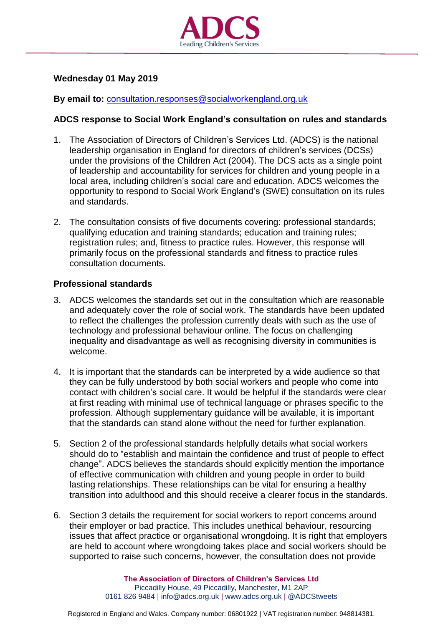

# **Wednesday 01 May 2019**

### **By email to:** [consultation.responses@socialworkengland.org.uk](mailto:consultation.responses@socialworkengland.org.uk)

### **ADCS response to Social Work England's consultation on rules and standards**

- 1. The Association of Directors of Children's Services Ltd. (ADCS) is the national leadership organisation in England for directors of children's services (DCSs) under the provisions of the Children Act (2004). The DCS acts as a single point of leadership and accountability for services for children and young people in a local area, including children's social care and education. ADCS welcomes the opportunity to respond to Social Work England's (SWE) consultation on its rules and standards.
- 2. The consultation consists of five documents covering: professional standards; qualifying education and training standards; education and training rules; registration rules; and, fitness to practice rules. However, this response will primarily focus on the professional standards and fitness to practice rules consultation documents.

#### **Professional standards**

- 3. ADCS welcomes the standards set out in the consultation which are reasonable and adequately cover the role of social work. The standards have been updated to reflect the challenges the profession currently deals with such as the use of technology and professional behaviour online. The focus on challenging inequality and disadvantage as well as recognising diversity in communities is welcome.
- 4. It is important that the standards can be interpreted by a wide audience so that they can be fully understood by both social workers and people who come into contact with children's social care. It would be helpful if the standards were clear at first reading with minimal use of technical language or phrases specific to the profession. Although supplementary guidance will be available, it is important that the standards can stand alone without the need for further explanation.
- 5. Section 2 of the professional standards helpfully details what social workers should do to "establish and maintain the confidence and trust of people to effect change". ADCS believes the standards should explicitly mention the importance of effective communication with children and young people in order to build lasting relationships. These relationships can be vital for ensuring a healthy transition into adulthood and this should receive a clearer focus in the standards.
- 6. Section 3 details the requirement for social workers to report concerns around their employer or bad practice. This includes unethical behaviour, resourcing issues that affect practice or organisational wrongdoing. It is right that employers are held to account where wrongdoing takes place and social workers should be supported to raise such concerns, however, the consultation does not provide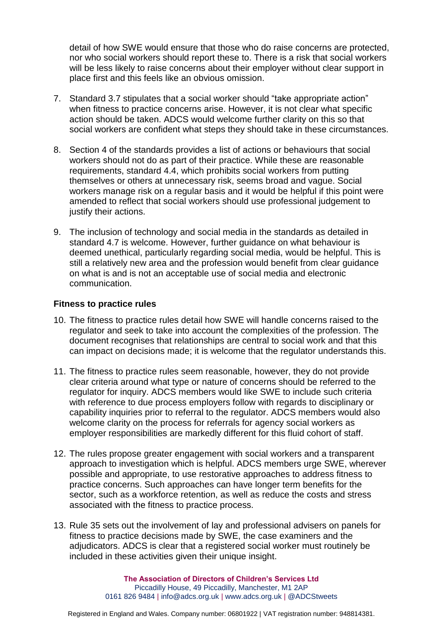detail of how SWE would ensure that those who do raise concerns are protected, nor who social workers should report these to. There is a risk that social workers will be less likely to raise concerns about their employer without clear support in place first and this feels like an obvious omission.

- 7. Standard 3.7 stipulates that a social worker should "take appropriate action" when fitness to practice concerns arise. However, it is not clear what specific action should be taken. ADCS would welcome further clarity on this so that social workers are confident what steps they should take in these circumstances.
- 8. Section 4 of the standards provides a list of actions or behaviours that social workers should not do as part of their practice. While these are reasonable requirements, standard 4.4, which prohibits social workers from putting themselves or others at unnecessary risk, seems broad and vague. Social workers manage risk on a regular basis and it would be helpful if this point were amended to reflect that social workers should use professional judgement to justify their actions.
- 9. The inclusion of technology and social media in the standards as detailed in standard 4.7 is welcome. However, further guidance on what behaviour is deemed unethical, particularly regarding social media, would be helpful. This is still a relatively new area and the profession would benefit from clear guidance on what is and is not an acceptable use of social media and electronic communication.

## **Fitness to practice rules**

- 10. The fitness to practice rules detail how SWE will handle concerns raised to the regulator and seek to take into account the complexities of the profession. The document recognises that relationships are central to social work and that this can impact on decisions made; it is welcome that the regulator understands this.
- 11. The fitness to practice rules seem reasonable, however, they do not provide clear criteria around what type or nature of concerns should be referred to the regulator for inquiry. ADCS members would like SWE to include such criteria with reference to due process employers follow with regards to disciplinary or capability inquiries prior to referral to the regulator. ADCS members would also welcome clarity on the process for referrals for agency social workers as employer responsibilities are markedly different for this fluid cohort of staff.
- 12. The rules propose greater engagement with social workers and a transparent approach to investigation which is helpful. ADCS members urge SWE, wherever possible and appropriate, to use restorative approaches to address fitness to practice concerns. Such approaches can have longer term benefits for the sector, such as a workforce retention, as well as reduce the costs and stress associated with the fitness to practice process.
- 13. Rule 35 sets out the involvement of lay and professional advisers on panels for fitness to practice decisions made by SWE, the case examiners and the adjudicators. ADCS is clear that a registered social worker must routinely be included in these activities given their unique insight.